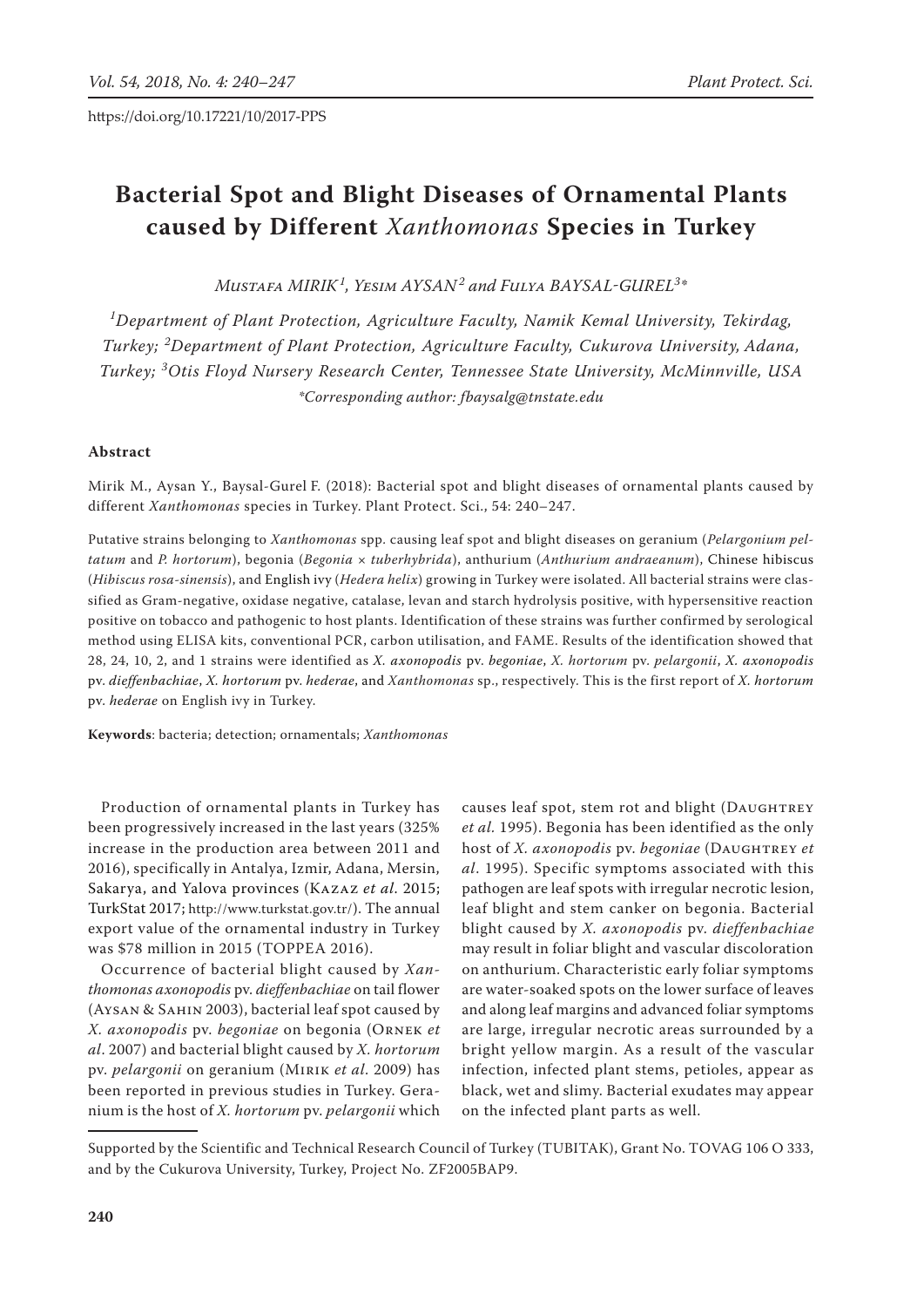# **Bacterial Spot and Blight Diseases of Ornamental Plants caused by Different** *Xanthomonas* **Species in Turkey**

*Mustafa Mirik<sup>1</sup> , Yesim Aysan <sup>2</sup> and Fulya Baysal-Gurel<sup>3</sup> \**

*1 Department of Plant Protection, Agriculture Faculty, Namik Kemal University, Tekirdag, Turkey; <sup>2</sup> Department of Plant Protection, Agriculture Faculty, Cukurova University, Adana, Turkey; <sup>3</sup> Otis Floyd Nursery Research Center, Tennessee State University, McMinnville, USA \*Corresponding author: fbaysalg@tnstate.edu*

## **Abstract**

Mirik M., Aysan Y., Baysal-Gurel F. (2018): Bacterial spot and blight diseases of ornamental plants caused by different *Xanthomonas* species in Turkey. Plant Protect. Sci., 54: 240–247.

Putative strains belonging to *Xanthomonas* spp. causing leaf spot and blight diseases on geranium (*Pelargonium peltatum* and *P. hortorum*), begonia (*Begonia* × *tuberhybrida*), anthurium (*Anthurium andraeanum*), Chinese hibiscus (*Hibiscus rosa-sinensis*), and English ivy (*Hedera helix*) growing in Turkey were isolated. All bacterial strains were classified as Gram-negative, oxidase negative, catalase, levan and starch hydrolysis positive, with hypersensitive reaction positive on tobacco and pathogenic to host plants. Identification of these strains was further confirmed by serological method using ELISA kits, conventional PCR, carbon utilisation, and FAME. Results of the identification showed that 28, 24, 10, 2, and 1 strains were identified as *X. axonopodis* pv. *begoniae*, *X. hortorum* pv. *pelargonii*, *X. axonopodis* pv. *dieffenbachiae*, *X. hortorum* pv. *hederae*, and *Xanthomonas* sp., respectively. This is the first report of *X. hortorum* pv. *hederae* on English ivy in Turkey.

**Keywords**: bacteria; detection; ornamentals; *Xanthomonas*

Production of ornamental plants in Turkey has been progressively increased in the last years (325% increase in the production area between 2011 and 2016), specifically in Antalya, Izmir, Adana, Mersin, Sakarya, and Yalova provinces (Kazaz *et al*. 2015; TurkStat 2017; http://www.turkstat.gov.tr/). The annual export value of the ornamental industry in Turkey was \$78 million in 2015 (Toppea 2016).

Occurrence of bacterial blight caused by *Xanthomonas axonopodis* pv. *dieffenbachiae* on tail flower (Aysan & Sahin 2003), bacterial leaf spot caused by *X. axonopodis* pv. *begoniae* on begonia (Ornek *et al*. 2007) and bacterial blight caused by *X. hortorum* pv. *pelargonii* on geranium (Mirik *et al*. 2009) has been reported in previous studies in Turkey. Geranium is the host of *X. hortorum* pv. *pelargonii* which

causes leaf spot, stem rot and blight (DAUGHTREY *et al.* 1995). Begonia has been identified as the only host of *X. axonopodis* pv. *begoniae* (DAUGHTREY *et al*. 1995). Specific symptoms associated with this pathogen are leaf spots with irregular necrotic lesion, leaf blight and stem canker on begonia. Bacterial blight caused by *X. axonopodis* pv. *dieffenbachiae* may result in foliar blight and vascular discoloration on anthurium. Characteristic early foliar symptoms are water-soaked spots on the lower surface of leaves and along leaf margins and advanced foliar symptoms are large, irregular necrotic areas surrounded by a bright yellow margin. As a result of the vascular infection, infected plant stems, petioles, appear as black, wet and slimy. Bacterial exudates may appear on the infected plant parts as well.

Supported by the Scientific and Technical Research Council of Turkey (TUBITAK), Grant No. TOVAG 106 O 333, and by the Cukurova University, Turkey, Project No. ZF2005BAP9.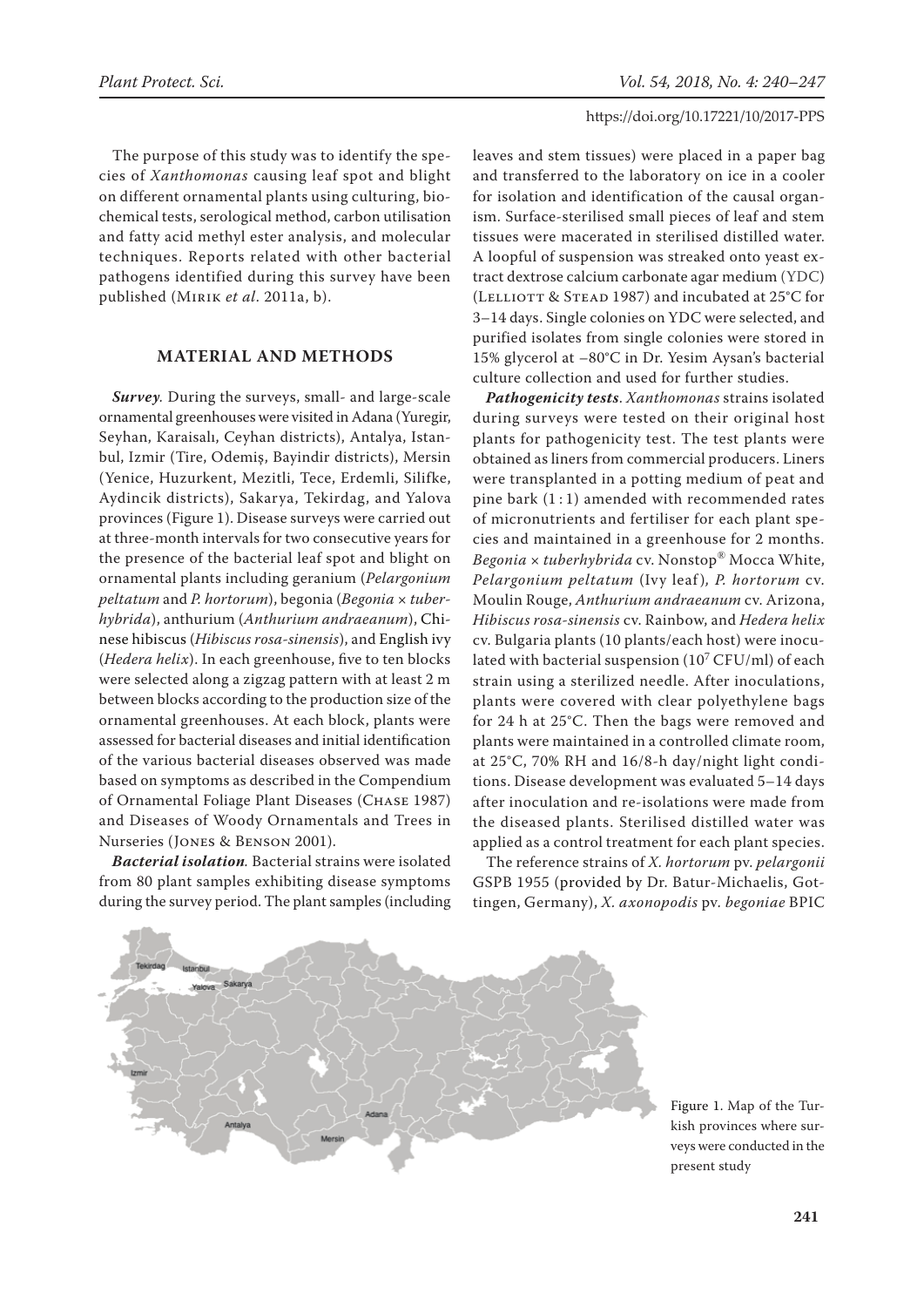The purpose of this study was to identify the species of *Xanthomonas* causing leaf spot and blight on different ornamental plants using culturing, biochemical tests, serological method, carbon utilisation and fatty acid methyl ester analysis, and molecular techniques. Reports related with other bacterial pathogens identified during this survey have been published (Mirik *et al*. 2011a, b).

## **Material and Methods**

*Survey.* During the surveys, small- and large-scale ornamental greenhouses were visited in Adana (Yuregir, Seyhan, Karaisalı, Ceyhan districts), Antalya, Istanbul, Izmir (Tire, Odemiş, Bayindir districts), Mersin (Yenice, Huzurkent, Mezitli, Tece, Erdemli, Silifke, Aydincik districts), Sakarya, Tekirdag, and Yalova provinces (Figure 1). Disease surveys were carried out at three-month intervals for two consecutive years for the presence of the bacterial leaf spot and blight on ornamental plants including geranium (*Pelargonium peltatum* and *P. hortorum*), begonia (*Begonia* × *tuberhybrida*), anthurium (*Anthurium andraeanum*), Chinese hibiscus (*Hibiscus rosa-sinensis*), and English ivy (*Hedera helix*). In each greenhouse, five to ten blocks were selected along a zigzag pattern with at least 2 m between blocks according to the production size of the ornamental greenhouses. At each block, plants were assessed for bacterial diseases and initial identification of the various bacterial diseases observed was made based on symptoms as described in the Compendium of Ornamental Foliage Plant Diseases (Chase 1987) and Diseases of Woody Ornamentals and Trees in Nurseries (Jones & Benson 2001).

*Bacterial isolation.* Bacterial strains were isolated from 80 plant samples exhibiting disease symptoms during the survey period. The plant samples (including leaves and stem tissues) were placed in a paper bag and transferred to the laboratory on ice in a cooler for isolation and identification of the causal organism. Surface-sterilised small pieces of leaf and stem tissues were macerated in sterilised distilled water. A loopful of suspension was streaked onto yeast extract dextrose calcium carbonate agar medium (YDC) (LELLIOTT & STEAD 1987) and incubated at 25°C for 3–14 days. Single colonies on YDC were selected, and purified isolates from single colonies were stored in 15% glycerol at –80°C in Dr. Yesim Aysan's bacterial culture collection and used for further studies.

*Pathogenicity tests*. *Xanthomonas* strains isolated during surveys were tested on their original host plants for pathogenicity test. The test plants were obtained as liners from commercial producers. Liners were transplanted in a potting medium of peat and pine bark  $(1:1)$  amended with recommended rates of micronutrients and fertiliser for each plant species and maintained in a greenhouse for 2 months. *Begonia* × *tuberhybrida* cv. Nonstop® Mocca White, *Pelargonium peltatum* (Ivy leaf )*, P. hortorum* cv. Moulin Rouge, *Anthurium andraeanum* cv. Arizona, *Hibiscus rosa-sinensis* cv. Rainbow, and *Hedera helix* cv. Bulgaria plants (10 plants/each host) were inoculated with bacterial suspension  $(10^7 \, \text{CFU/ml})$  of each strain using a sterilized needle. After inoculations, plants were covered with clear polyethylene bags for 24 h at 25°C. Then the bags were removed and plants were maintained in a controlled climate room, at 25°C, 70% RH and 16/8-h day/night light conditions. Disease development was evaluated 5–14 days after inoculation and re-isolations were made from the diseased plants. Sterilised distilled water was applied as a control treatment for each plant species.

The reference strains of *X. hortorum* pv. *pelargonii* GSPB 1955 (provided by Dr. Batur-Michaelis, Gottingen, Germany), *X. axonopodis* pv*. begoniae* BPIC

Sakang

Figure 1. Map of the Turkish provinces where surveys were conducted in the present study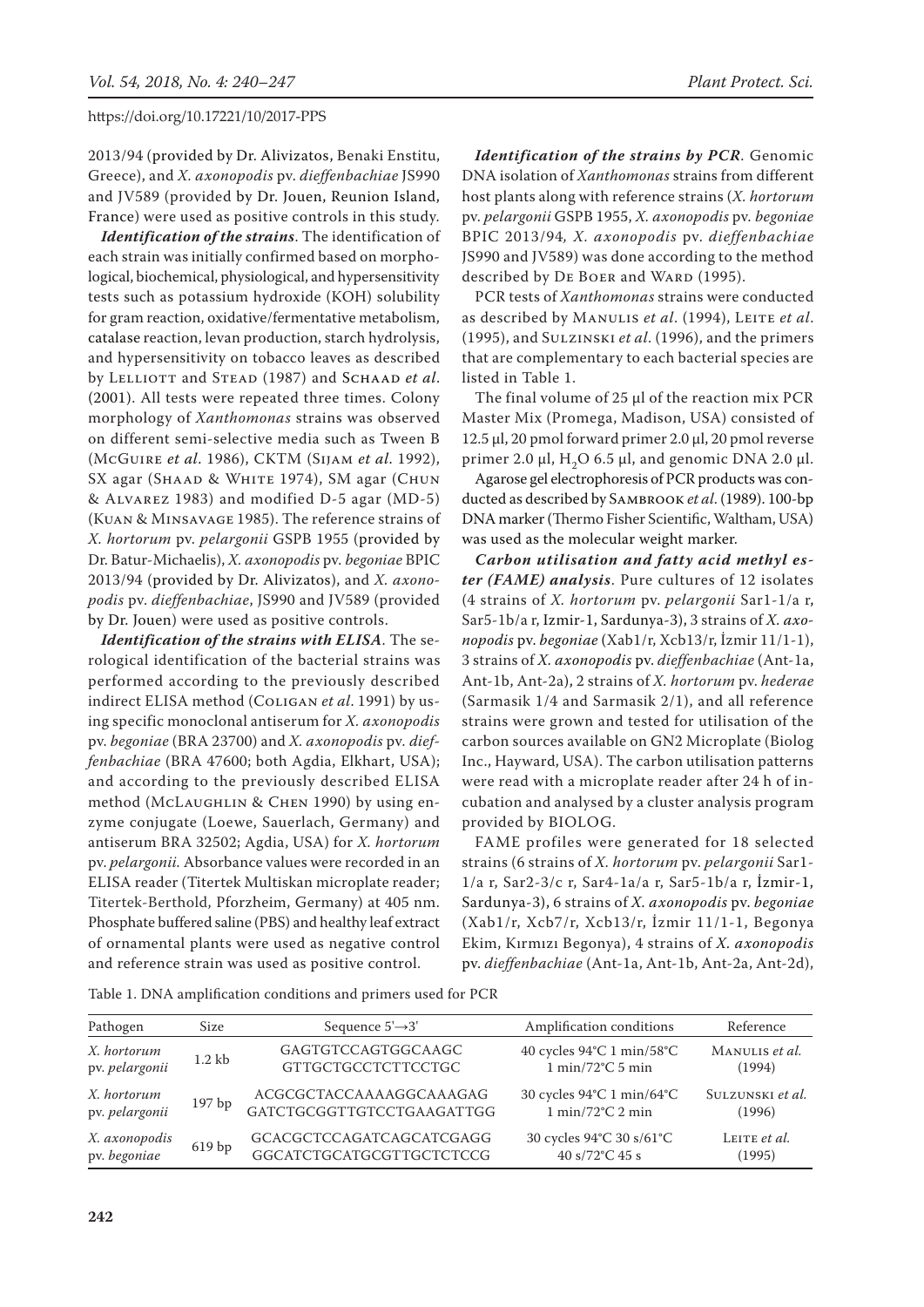2013/94 (provided by Dr. Alivizatos, Benaki Enstitu, Greece), and *X. axonopodis* pv. *dieffenbachiae* JS990 and JV589 (provided by Dr. Jouen, Reunion Island, France) were used as positive controls in this study.

*Identification of the strains*. The identification of each strain was initially confirmed based on morphological, biochemical, physiological, and hypersensitivity tests such as potassium hydroxide (KOH) solubility for gram reaction, oxidative/fermentative metabolism, catalase reaction, levan production, starch hydrolysis, and hypersensitivity on tobacco leaves as described by LELLIOTT and STEAD (1987) and SCHAAD *et al.* (2001). All tests were repeated three times. Colony morphology of *Xanthomonas* strains was observed on different semi-selective media such as Tween B (McGuire *et al*. 1986), CKTM (Sijam *et al*. 1992), SX agar (SHAAD & WHITE 1974), SM agar (CHUN & Alvarez 1983) and modified D-5 agar (MD-5) (Kuan & Minsavage 1985). The reference strains of *X. hortorum* pv. *pelargonii* GSPB 1955 (provided by Dr. Batur-Michaelis), *X. axonopodis* pv*. begoniae* BPIC 2013/94 (provided by Dr. Alivizatos), and *X. axonopodis* pv. *dieffenbachiae*, JS990 and JV589 (provided by Dr. Jouen) were used as positive controls.

*Identification of the strains with ELISA*. The serological identification of the bacterial strains was performed according to the previously described indirect ELISA method (Coligan *et al*. 1991) by using specific monoclonal antiserum for *X. axonopodis* pv. *begoniae* (BRA 23700) and *X. axonopodis* pv*. dieffenbachiae* (BRA 47600; both Agdia, Elkhart, USA); and according to the previously described ELISA method (McLaughLIN & CHEN 1990) by using enzyme conjugate (Loewe, Sauerlach, Germany) and antiserum BRA 32502; Agdia, USA) for *X. hortorum* pv. *pelargonii.* Absorbance values were recorded in an ELISA reader (Titertek Multiskan microplate reader; Titertek-Berthold, Pforzheim, Germany) at 405 nm. Phosphate buffered saline (PBS) and healthy leaf extract of ornamental plants were used as negative control and reference strain was used as positive control.

*Identification of the strains by PCR*. Genomic DNA isolation of *Xanthomonas* strains from different host plants along with reference strains (*X. hortorum*  pv. *pelargonii* GSPB 1955, *X. axonopodis* pv*. begoniae* BPIC 2013/94*, X. axonopodis* pv. *dieffenbachiae* JS990 and JV589) was done according to the method described by DE BOER and WARD (1995).

PCR tests of *Xanthomonas* strains were conducted as described by Manulis *et al*. (1994), Leite *et al*. (1995), and Sulzinski *et al*. (1996), and the primers that are complementary to each bacterial species are listed in Table 1.

The final volume of 25 µl of the reaction mix PCR Master Mix (Promega, Madison, USA) consisted of 12.5 µl, 20 pmol forward primer 2.0 µl, 20 pmol reverse primer 2.0  $\mu$ l, H<sub>2</sub>O 6.5  $\mu$ l, and genomic DNA 2.0  $\mu$ l.

Agarose gel electrophoresis of PCR products was conducted as described by Sambrook *et al*. (1989). 100-bp DNA marker (Thermo Fisher Scientific, Waltham, USA) was used as the molecular weight marker.

*Carbon utilisation and fatty acid methyl ester (FAME) analysis*. Pure cultures of 12 isolates (4 strains of *X. hortorum* pv. *pelargonii* Sar1-1/a r, Sar5-1b/a r, Izmir-1, Sardunya-3), 3 strains of *X. axonopodis* pv. *begoniae* (Xab1/r, Xcb13/r, İzmir 11/1-1), 3 strains of *X. axonopodis* pv. *dieffenbachiae* (Ant-1a, Ant-1b, Ant-2a), 2 strains of *X. hortorum* pv. *hederae* (Sarmasik 1/4 and Sarmasik 2/1), and all reference strains were grown and tested for utilisation of the carbon sources available on GN2 Microplate (Biolog Inc., Hayward, USA). The carbon utilisation patterns were read with a microplate reader after 24 h of incubation and analysed by a cluster analysis program provided by BIOLOG.

FAME profiles were generated for 18 selected strains (6 strains of *X. hortorum* pv. *pelargonii* Sar1- 1/a r, Sar2-3/c r, Sar4-1a/a r, Sar5-1b/a r, İzmir-1, Sardunya-3), 6 strains of *X. axonopodis* pv. *begoniae*  (Xab1/r, Xcb7/r, Xcb13/r, İzmir 11/1-1, Begonya Ekim, Kırmızı Begonya), 4 strains of *X. axonopodis* pv. *dieffenbachiae* (Ant-1a, Ant-1b, Ant-2a, Ant-2d),

Table 1. DNA amplification conditions and primers used for PCR

| Pathogen       | Size     | Sequence $5' \rightarrow 3'$ | Amplification conditions  | Reference        |
|----------------|----------|------------------------------|---------------------------|------------------|
| X. hortorum    | $1.2$ kb | GAGTGTCCAGTGGCAAGC           | 40 cycles 94°C 1 min/58°C | MANULIS et al.   |
| pv. pelargonii |          | <b>GTTGCTGCCTCTTCCTGC</b>    | $1 min/72^{\circ}C$ 5 min | (1994)           |
| X. hortorum    | 197 bp   | ACGCGCTACCAAAAGGCAAAGAG      | 30 cycles 94°C 1 min/64°C | SULZUNSKI et al. |
| pv. pelargonii |          | GATCTGCGGTTGTCCTGAAGATTGG    | $1 min/72^{\circ}C 2 min$ | (1996)           |
| X. axonopodis  | 619 bp   | GCACGCTCCAGATCAGCATCGAGG     | 30 cycles 94°C 30 s/61°C  | LEITE et al.     |
| pv. begoniae   |          | GGCATCTGCATGCGTTGCTCTCCG     | 40 s/72 $\degree$ C 45 s  | (1995)           |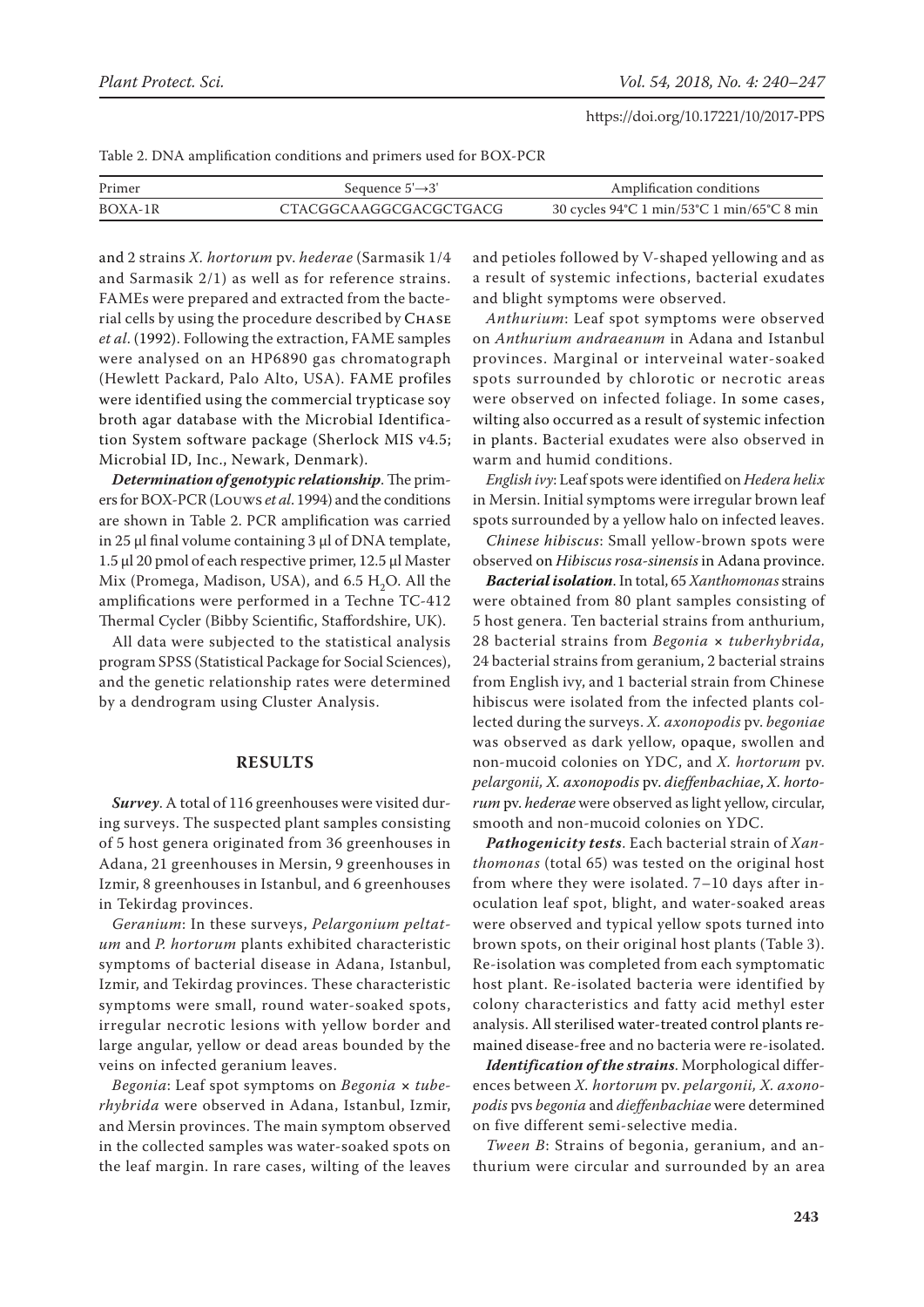| Table 2. DNA amplification conditions and primers used for BOX-PCR |  |  |  |  |  |
|--------------------------------------------------------------------|--|--|--|--|--|
|--------------------------------------------------------------------|--|--|--|--|--|

| Primer  | Sequence $5' \rightarrow 3'$ | Amplification conditions                                                   |
|---------|------------------------------|----------------------------------------------------------------------------|
| BOXA-1R | CTACGGCAAGGCGACGCTGACG       | 30 cvcles $94^{\circ}$ C 1 min/53 $^{\circ}$ C 1 min/65 $^{\circ}$ C 8 min |

and 2 strains *X. hortorum* pv. *hederae* (Sarmasik 1/4 and Sarmasik 2/1) as well as for reference strains. FAMEs were prepared and extracted from the bacterial cells by using the procedure described by Chase *et al*. (1992). Following the extraction, FAME samples were analysed on an HP6890 gas chromatograph (Hewlett Packard, Palo Alto, USA). FAME profiles were identified using the commercial trypticase soy broth agar database with the Microbial Identification System software package (Sherlock MIS v4.5; Microbial ID, Inc., Newark, Denmark).

*Determination of genotypic relationship*. The primers for BOX-PCR (Louws *et al*. 1994) and the conditions are shown in Table 2. PCR amplification was carried in 25 μl final volume containing 3 µl of DNA template, 1.5 µl 20 pmol of each respective primer, 12.5 µl Master Mix (Promega, Madison, USA), and 6.5 H<sub>2</sub>O. All the amplifications were performed in a Techne TC-412 Thermal Cycler (Bibby Scientific, Staffordshire, UK).

All data were subjected to the statistical analysis program SPSS (Statistical Package for Social Sciences), and the genetic relationship rates were determined by a dendrogram using Cluster Analysis.

#### **Results**

*Survey*. A total of 116 greenhouses were visited during surveys. The suspected plant samples consisting of 5 host genera originated from 36 greenhouses in Adana, 21 greenhouses in Mersin, 9 greenhouses in Izmir, 8 greenhouses in Istanbul, and 6 greenhouses in Tekirdag provinces.

*Geranium*: In these surveys, *Pelargonium peltatum* and *P. hortorum* plants exhibited characteristic symptoms of bacterial disease in Adana, Istanbul, Izmir, and Tekirdag provinces. These characteristic symptoms were small, round water-soaked spots, irregular necrotic lesions with yellow border and large angular, yellow or dead areas bounded by the veins on infected geranium leaves.

*Begonia*: Leaf spot symptoms on *Begonia × tuberhybrida* were observed in Adana, Istanbul, Izmir, and Mersin provinces. The main symptom observed in the collected samples was water-soaked spots on the leaf margin. In rare cases, wilting of the leaves and petioles followed by V-shaped yellowing and as a result of systemic infections, bacterial exudates and blight symptoms were observed.

*Anthurium*: Leaf spot symptoms were observed on *Anthurium andraeanum* in Adana and Istanbul provinces. Marginal or interveinal water-soaked spots surrounded by chlorotic or necrotic areas were observed on infected foliage. In some cases, wilting also occurred as a result of systemic infection in plants. Bacterial exudates were also observed in warm and humid conditions.

*English ivy*: Leaf spots were identified on *Hedera helix* in Mersin. Initial symptoms were irregular brown leaf spots surrounded by a yellow halo on infected leaves.

*Chinese hibiscus*: Small yellow-brown spots were observed on *Hibiscus rosa-sinensis* in Adana province.

*Bacterial isolation*. In total, 65 *Xanthomonas* strains were obtained from 80 plant samples consisting of 5 host genera. Ten bacterial strains from anthurium, 28 bacterial strains from *Begonia × tuberhybrida,*  24 bacterial strains from geranium, 2 bacterial strains from English ivy, and 1 bacterial strain from Chinese hibiscus were isolated from the infected plants collected during the surveys. *X. axonopodis* pv. *begoniae* was observed as dark yellow, opaque, swollen and non-mucoid colonies on YDC, and *X. hortorum* pv. *pelargonii, X. axonopodis* pv. *dieffenbachiae*, *X. horto*rum pv. hederae were observed as light yellow, circular, smooth and non-mucoid colonies on YDC.

*Pathogenicity tests*. Each bacterial strain of *Xanthomonas* (total 65) was tested on the original host from where they were isolated. 7–10 days after inoculation leaf spot, blight, and water-soaked areas were observed and typical yellow spots turned into brown spots, on their original host plants (Table 3). Re-isolation was completed from each symptomatic host plant. Re-isolated bacteria were identified by colony characteristics and fatty acid methyl ester analysis. All sterilised water-treated control plants remained disease-free and no bacteria were re-isolated.

*Identification of the strains*. Morphological differences between *X. hortorum* pv. *pelargonii, X. axonopodis* pvs *begonia* and *dieffenbachiae* were determined on five different semi-selective media.

*Tween B*: Strains of begonia, geranium, and anthurium were circular and surrounded by an area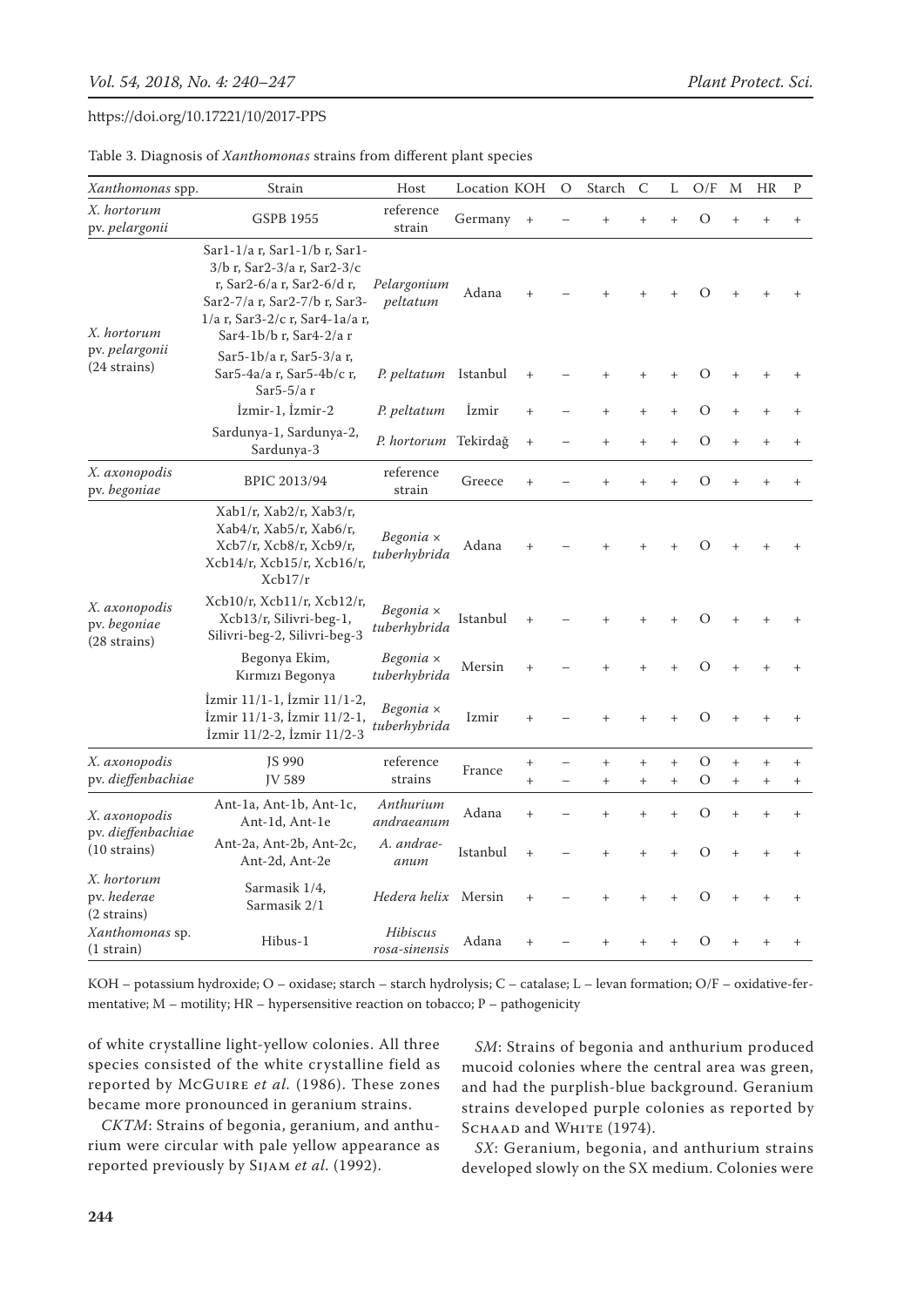|  |  |  | Table 3. Diagnosis of Xanthomonas strains from different plant species |
|--|--|--|------------------------------------------------------------------------|
|--|--|--|------------------------------------------------------------------------|

| Xanthomonas spp.                                              | Strain                                                                                                                                                                                      | Host                      | Location KOH |            | $\circ$ | Starch     | $\mathsf{C}$ | L         | O/F     | М         | HR               | P      |
|---------------------------------------------------------------|---------------------------------------------------------------------------------------------------------------------------------------------------------------------------------------------|---------------------------|--------------|------------|---------|------------|--------------|-----------|---------|-----------|------------------|--------|
| X. hortorum<br>pv. pelargonii                                 | <b>GSPB 1955</b>                                                                                                                                                                            | reference<br>strain       | Germany      | $\ddot{}$  |         | $\ddot{}$  | $\ddot{}$    | $^{+}$    | $\circ$ | $\ddot{}$ | $^{+}$           | $+$    |
| X. hortorum<br>pv. pelargonii<br>$(24 \text{ strains})$       | Sar1-1/a r, Sar1-1/b r, Sar1-<br>3/b r, Sar2-3/a r, Sar2-3/c<br>r, Sar2-6/a r, Sar2-6/d r,<br>Sar2-7/a r, Sar2-7/b r, Sar3-<br>$1/a$ r, Sar3-2/c r, Sar4-1a/a r,<br>Sar4-1b/b r, Sar4-2/a r | Pelargonium<br>peltatum   | Adana        |            |         |            |              |           | O       |           |                  |        |
|                                                               | Sar5-1b/a r, Sar5-3/a r,<br>Sar5-4a/a r, Sar5-4b/c r,<br>$Sar5-5/a r$                                                                                                                       | P. peltatum Istanbul      |              | $^{+}$     |         |            |              |           | О       |           |                  |        |
|                                                               | İzmir-1, İzmir-2                                                                                                                                                                            | P. peltatum               | Izmir        | $^{+}$     |         | $^{+}$     | $^{+}$       | $^{+}$    | O       |           | $\hbox{ }$       |        |
|                                                               | Sardunya-1, Sardunya-2,<br>Sardunya-3                                                                                                                                                       | P. hortorum Tekirdağ      |              | $^{+}$     |         | $^{+}$     | $^{+}$       | $^{+}$    | О       | $\ddot{}$ | $\boldsymbol{+}$ | $^{+}$ |
| X. axonopodis<br>pv. begoniae                                 | BPIC 2013/94                                                                                                                                                                                | reference<br>strain       | Greece       | $\ddot{+}$ |         | $\ddot{}$  | $\ddot{}$    | $\ddot{}$ | $\circ$ | $\ddot{}$ | $\ddot{}$        | $+$    |
| X. axonopodis<br>pv. begoniae<br>$(28 \text{ strains})$       | Xab1/r, Xab2/r, Xab3/r,<br>$Xab4/r$ , $Xab5/r$ , $Xab6/r$ ,<br>Xcb7/r, Xcb8/r, Xcb9/r,<br>Xcb14/r, Xcb15/r, Xcb16/r,<br>Xcb17/r                                                             | Begonia ×<br>tuberhybrida | Adana        |            |         |            |              |           | Ω       |           |                  |        |
|                                                               | Xcb10/r, Xcb11/r, Xcb12/r,<br>Xcb13/r, Silivri-beg-1,<br>Silivri-beg-2, Silivri-beg-3                                                                                                       | Begonia x<br>tuberhybrida | Istanbul     | $+$        |         | $\ddot{}$  |              |           | O       |           |                  |        |
|                                                               | Begonya Ekim,<br>Kırmızı Begonya                                                                                                                                                            | Begonia x<br>tuberhybrida | Mersin       | $+$        |         | $\ddot{}$  |              |           | О       |           |                  |        |
|                                                               | İzmir 11/1-1, İzmir 11/1-2,<br>İzmir 11/1-3, İzmir 11/2-1,<br>İzmir 11/2-2, İzmir 11/2-3                                                                                                    | Begonia x<br>tuberhybrida | Izmir        |            |         |            |              | $^{+}$    | $\circ$ |           |                  |        |
| X. axonopodis<br>pv. dieffenbachiae                           | <b>JS 990</b><br>reference                                                                                                                                                                  |                           | France       | $^{+}$     |         | $^{+}$     | $^{+}$       | $^{+}$    | $\circ$ | $^{+}$    | $^{+}$           | $^{+}$ |
|                                                               | <b>IV 589</b>                                                                                                                                                                               | strains                   |              | $^{+}$     |         | $^{+}$     | $^{+}$       | $^{+}$    | $\circ$ | $^{+}$    | $^{+}$           | $^{+}$ |
| X. axonopodis<br>pv. dieffenbachiae<br>$(10 \text{ strains})$ | Ant-1a, Ant-1b, Ant-1c,<br>Ant-1d, Ant-1e                                                                                                                                                   | Anthurium<br>andraeanum   | Adana        | $+$        |         | $^{+}$     | $+$          | $\ddot{}$ | O       | $\ddot{}$ | $^{+}$           | $^{+}$ |
|                                                               | Ant-2a, Ant-2b, Ant-2c,<br>Ant-2d, Ant-2e                                                                                                                                                   | A. andrae-<br>anum        | Istanbul     | $\ddot{+}$ |         | $\ddot{+}$ | $\ddot{}$    | $\ddot{}$ | О       |           |                  | $+$    |
| X. hortorum<br>pv. hederae<br>$(2 \text{ strains})$           | Sarmasik 1/4,<br>Sarmasik 2/1                                                                                                                                                               | Hedera helix              | Mersin       | $^{+}$     |         | $\ddot{}$  |              | $\ddot{}$ | O       |           |                  |        |
| Xanthomonas sp.<br>(1 strain)                                 | Hibus-1                                                                                                                                                                                     | Hibiscus<br>rosa-sinensis | Adana        |            |         |            |              |           | О       |           |                  |        |

KOH – potassium hydroxide; O – oxidase; starch – starch hydrolysis; C – catalase; L – levan formation; O/F – oxidative-fermentative; M – motility; HR – hypersensitive reaction on tobacco; P – pathogenicity

of white crystalline light-yellow colonies. All three species consisted of the white crystalline field as reported by McGuire *et al.* (1986). These zones became more pronounced in geranium strains.

*CKTM*: Strains of begonia, geranium, and anthurium were circular with pale yellow appearance as reported previously by Sijam *et al*. (1992).

*SM*: Strains of begonia and anthurium produced mucoid colonies where the central area was green, and had the purplish-blue background. Geranium strains developed purple colonies as reported by SCHAAD and WHITE (1974).

*SX*: Geranium, begonia, and anthurium strains developed slowly on the SX medium. Colonies were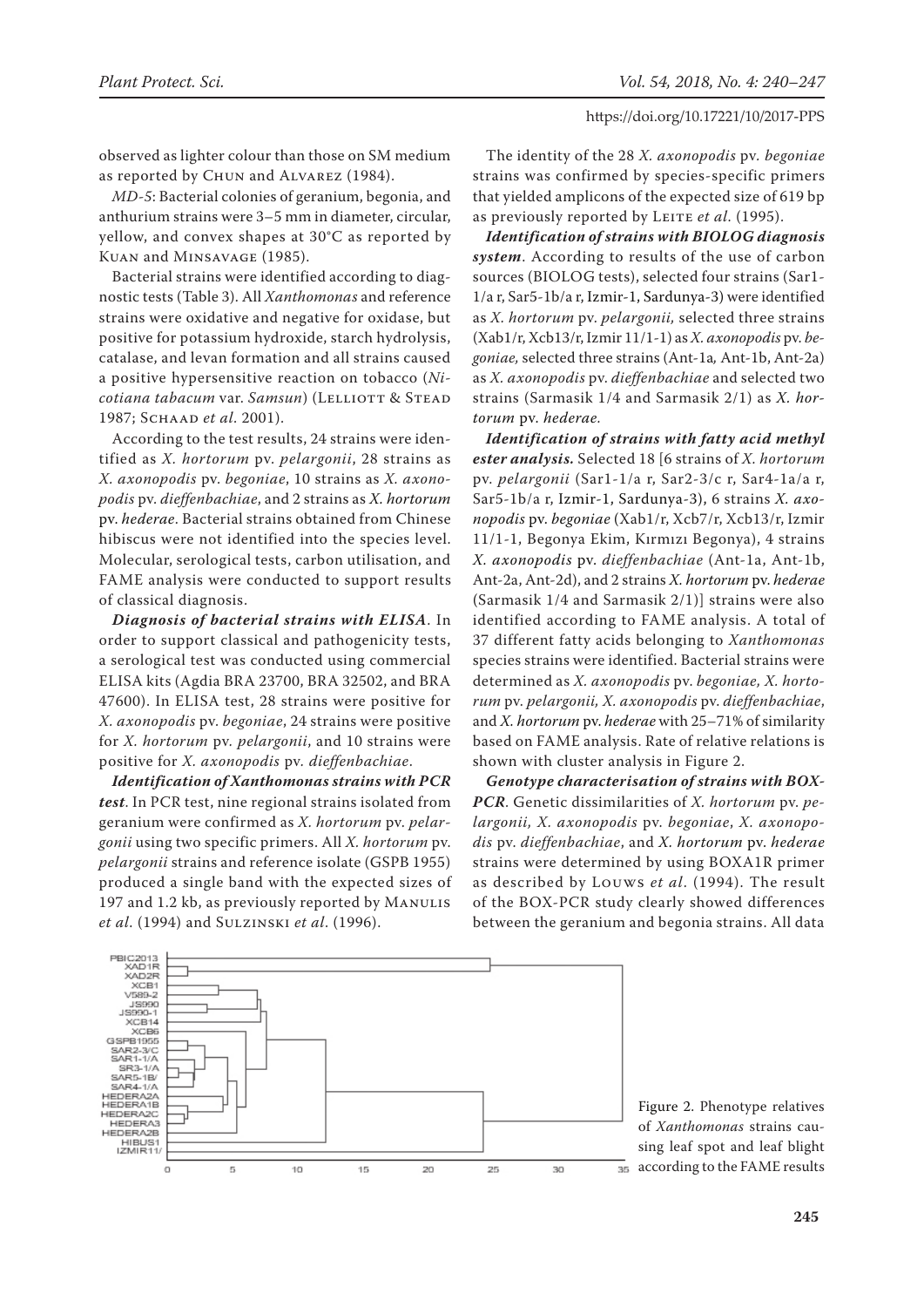observed as lighter colour than those on SM medium as reported by Chun and Alvarez (1984).

*MD-5*: Bacterial colonies of geranium, begonia, and anthurium strains were 3–5 mm in diameter, circular, yellow, and convex shapes at 30°C as reported by Kuan and Minsavage (1985).

Bacterial strains were identified according to diagnostic tests (Table 3). All *Xanthomonas* and reference strains were oxidative and negative for oxidase, but positive for potassium hydroxide, starch hydrolysis, catalase, and levan formation and all strains caused a positive hypersensitive reaction on tobacco (*Nicotiana tabacum var. Samsun*) (LELLIOTT & STEAD 1987; Schaad *et al*. 2001).

According to the test results, 24 strains were identified as *X. hortorum* pv. *pelargonii*, 28 strains as *X. axonopodis* pv. *begoniae*, 10 strains as *X. axonopodis* pv. *dieffenbachiae*, and 2 strains as *X. hortorum* pv. *hederae*. Bacterial strains obtained from Chinese hibiscus were not identified into the species level. Molecular, serological tests, carbon utilisation, and FAME analysis were conducted to support results of classical diagnosis.

*Diagnosis of bacterial strains with ELISA*. In order to support classical and pathogenicity tests, a serological test was conducted using commercial ELISA kits (Agdia BRA 23700, BRA 32502, and BRA 47600). In ELISA test, 28 strains were positive for *X. axonopodis* pv. *begoniae*, 24 strains were positive for *X. hortorum* pv*. pelargonii*, and 10 strains were positive for *X. axonopodis* pv*. dieffenbachiae*.

*Identification of Xanthomonas strains with PCR test*. In PCR test, nine regional strains isolated from geranium were confirmed as *X. hortorum* pv. *pelargonii* using two specific primers. All *X. hortorum* pv. *pelargonii* strains and reference isolate (GSPB 1955) produced a single band with the expected sizes of 197 and 1.2 kb, as previously reported by MANULIS *et al*. (1994) and Sulzinski *et al*. (1996).

The identity of the 28 *X. axonopodis* pv*. begoniae* strains was confirmed by species-specific primers that yielded amplicons of the expected size of 619 bp as previously reported by LEITE *et al.* (1995).

*Identification of strains with BIOLOG diagnosis system*. According to results of the use of carbon sources (BIOLOG tests), selected four strains (Sar1- 1/a r, Sar5-1b/a r, Izmir-1, Sardunya-3) were identified as *X. hortorum* pv. *pelargonii,* selected three strains (Xab1/r, Xcb13/r, Izmir 11/1-1) as *X. axonopodis* pv. *begoniae,* selected three strains (Ant-1a*,* Ant-1b, Ant-2a) as *X. axonopodis* pv. *dieffenbachiae* and selected two strains (Sarmasik 1/4 and Sarmasik 2/1) as *X. hortorum* pv. *hederae.*

*Identification of strains with fatty acid methyl ester analysis.* Selected 18 [6 strains of *X. hortorum* pv. *pelargonii* (Sar1-1/a r, Sar2-3/c r, Sar4-1a/a r, Sar5-1b/a r, Izmir-1, Sardunya-3), 6 strains *X. axonopodis* pv. *begoniae* (Xab1/r, Xcb7/r, Xcb13/r, Izmir 11/1-1, Begonya Ekim, Kırmızı Begonya), 4 strains *X. axonopodis* pv. *dieffenbachiae* (Ant-1a, Ant-1b, Ant-2a, Ant-2d), and 2 strains *X. hortorum* pv. *hederae*  (Sarmasik 1/4 and Sarmasik 2/1)] strains were also identified according to FAME analysis. A total of 37 different fatty acids belonging to *Xanthomonas*  species strains were identified. Bacterial strains were determined as *X. axonopodis* pv. *begoniae, X. hortorum* pv. *pelargonii, X. axonopodis* pv. *dieffenbachiae*, and *X. hortorum* pv. *hederae* with 25–71% of similarity based on FAME analysis. Rate of relative relations is shown with cluster analysis in Figure 2.

*Genotype characterisation of strains with BOX-PCR*. Genetic dissimilarities of *X. hortorum* pv. *pelargonii, X. axonopodis* pv. *begoniae*, *X. axonopodis* pv. *dieffenbachiae*, and *X. hortorum* pv. *hederae* strains were determined by using BOXA1R primer as described by Louws *et al*. (1994). The result of the BOX-PCR study clearly showed differences between the geranium and begonia strains. All data



Figure 2. Phenotype relatives of *Xanthomonas* strains causing leaf spot and leaf blight  $\frac{1}{25}$  according to the FAME results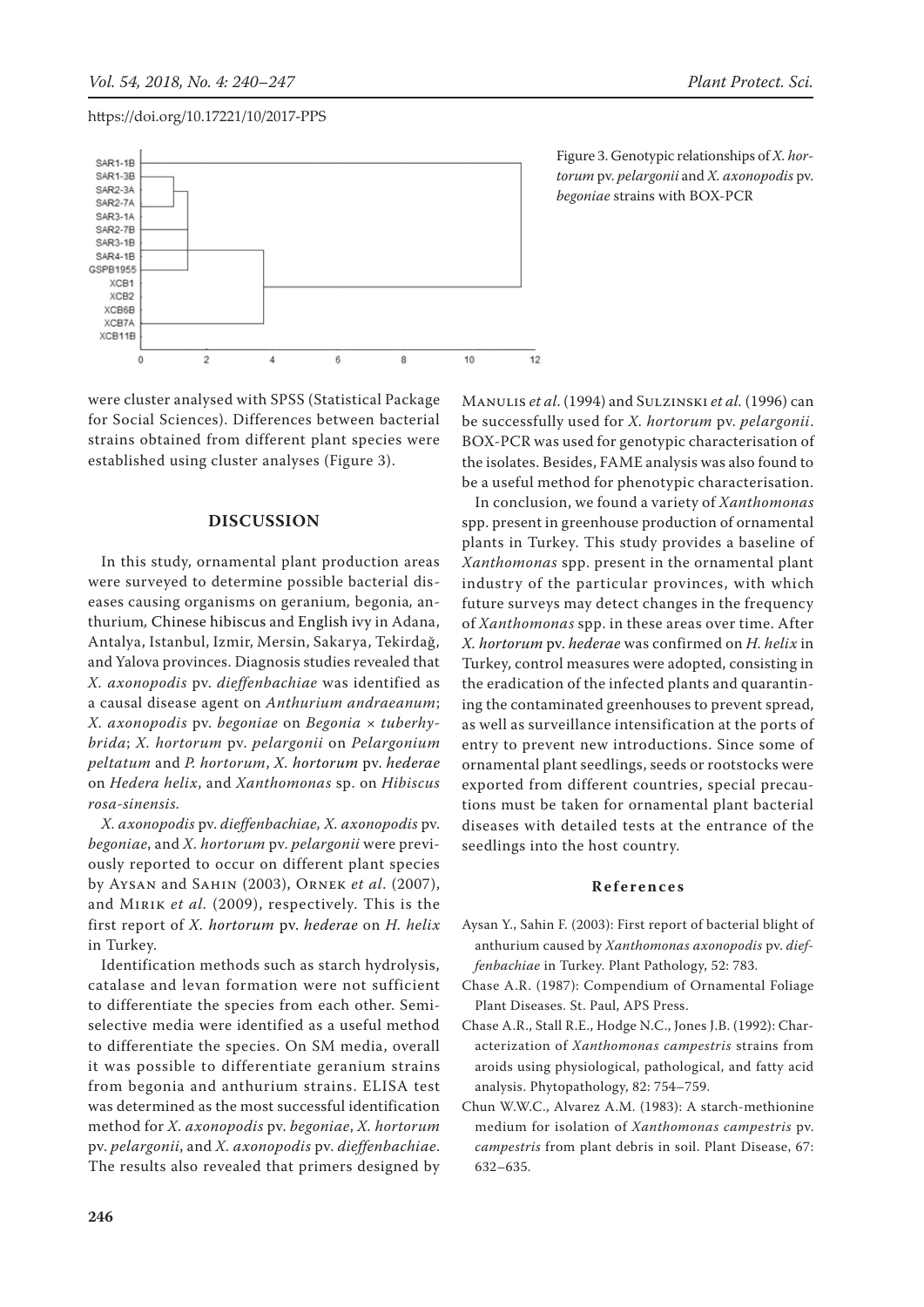

were cluster analysed with SPSS (Statistical Package for Social Sciences). Differences between bacterial strains obtained from different plant species were established using cluster analyses (Figure 3).

## **Discussion**

In this study, ornamental plant production areas were surveyed to determine possible bacterial diseases causing organisms on geranium*,* begonia*,* anthurium*,* Chinese hibiscus and English ivy in Adana, Antalya, Istanbul, Izmir, Mersin, Sakarya, Tekirdağ, and Yalova provinces. Diagnosis studies revealed that *X. axonopodis* pv. *dieffenbachiae* was identified as a causal disease agent on *Anthurium andraeanum*; *X. axonopodis* pv. *begoniae* on *Begonia × tuberhybrida*; *X. hortorum* pv. *pelargonii* on *Pelargonium peltatum* and *P. hortorum*, *X. hortorum* pv. *hederae* on *Hedera helix*, and *Xanthomonas* sp. on *Hibiscus rosa-sinensis.*

*X. axonopodis* pv. *dieffenbachiae, X. axonopodis* pv. *begoniae*, and *X. hortorum* pv. *pelargonii* were previously reported to occur on different plant species by Aysan and Sahin (2003), Ornek *et al*. (2007), and MIRIK *et al.* (2009), respectively. This is the first report of *X. hortorum* pv. *hederae* on *H. helix* in Turkey.

Identification methods such as starch hydrolysis, catalase and levan formation were not sufficient to differentiate the species from each other. Semiselective media were identified as a useful method to differentiate the species. On SM media, overall it was possible to differentiate geranium strains from begonia and anthurium strains. ELISA test was determined as the most successful identification method for *X. axonopodis* pv. *begoniae*, *X. hortorum* pv. *pelargonii*, and *X. axonopodis* pv. *dieffenbachiae*. The results also revealed that primers designed by

Figure 3. Genotypic relationships of *X. hortorum* pv. *pelargonii* and *X. axonopodis* pv. *begoniae* strains with BOX-PCR

Manulis *et al*. (1994) and Sulzinski *et al.* (1996) can be successfully used for *X. hortorum* pv. *pelargonii*. BOX-PCR was used for genotypic characterisation of the isolates. Besides, FAME analysis was also found to be a useful method for phenotypic characterisation.

In conclusion, we found a variety of *Xanthomonas* spp. present in greenhouse production of ornamental plants in Turkey. This study provides a baseline of *Xanthomonas* spp. present in the ornamental plant industry of the particular provinces, with which future surveys may detect changes in the frequency of *Xanthomonas* spp. in these areas over time. After *X. hortorum* pv. *hederae* was confirmed on *H. helix* in Turkey, control measures were adopted, consisting in the eradication of the infected plants and quarantining the contaminated greenhouses to prevent spread, as well as surveillance intensification at the ports of entry to prevent new introductions. Since some of ornamental plant seedlings, seeds or rootstocks were exported from different countries, special precautions must be taken for ornamental plant bacterial diseases with detailed tests at the entrance of the seedlings into the host country.

## **References**

- Aysan Y., Sahin F. (2003): First report of bacterial blight of anthurium caused by *Xanthomonas axonopodis* pv. *dieffenbachiae* in Turkey. Plant Pathology, 52: 783.
- Chase A.R. (1987): Compendium of Ornamental Foliage Plant Diseases. St. Paul, APS Press.
- Chase A.R., Stall R.E., Hodge N.C., Jones J.B. (1992): Characterization of *Xanthomonas campestris* strains from aroids using physiological, pathological, and fatty acid analysis. Phytopathology, 82: 754–759.
- Chun W.W.C., Alvarez A.M. (1983): A starch-methionine medium for isolation of *Xanthomonas campestris* pv. *campestris* from plant debris in soil. Plant Disease, 67: 632–635.